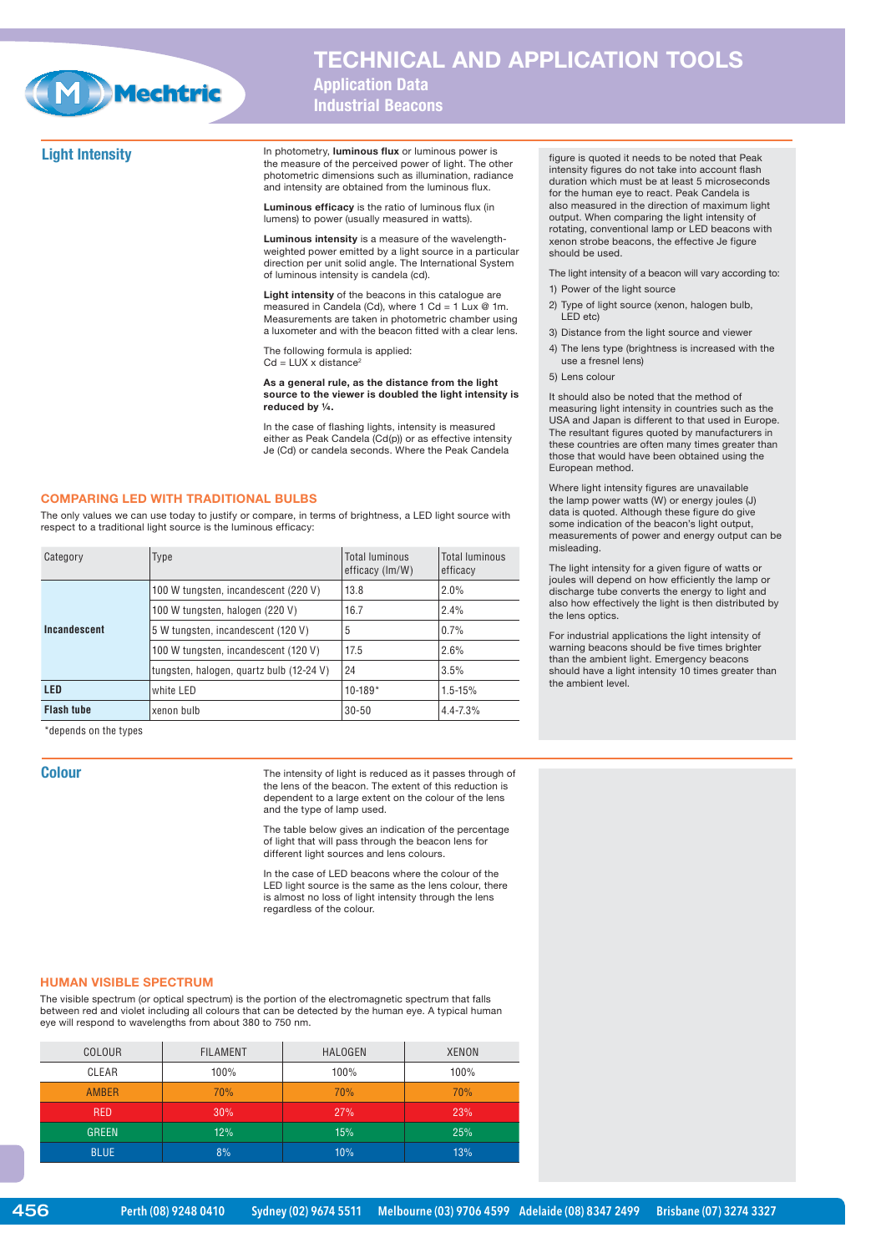

# **TECHNICAL AND APPLICATION TOOLS**

**Application Data Industrial Beacons**

**Light Intensity** In photometry, **luminous flux** or luminous power is the measure of the perceived power of light. The other photometric dimensions such as illumination, radiance and intensity are obtained from the luminous flux.

> **Luminous efficacy** is the ratio of luminous flux (in lumens) to power (usually measured in watts).

**Luminous intensity** is a measure of the wavelengthweighted power emitted by a light source in a particular direction per unit solid angle. The International System of luminous intensity is candela (cd).

**Light intensity** of the beacons in this catalogue are measured in Candela (Cd), where 1 Cd = 1 Lux @ 1m. Measurements are taken in photometric chamber using a luxometer and with the beacon fitted with a clear lens.

The following formula is applied:  $Cd = LUX \times distance^2$ 

**As a general rule, as the distance from the light source to the viewer is doubled the light intensity is reduced by ¼.**

In the case of flashing lights, intensity is measured either as Peak Candela (Cd(p)) or as effective intensity Je (Cd) or candela seconds. Where the Peak Candela

## **COMPARING LED WITH TRADITIONAL BULBS**

The only values we can use today to justify or compare, in terms of brightness, a LED light source with respect to a traditional light source is the luminous efficacy:

| Category          | Type                                     | <b>Total luminous</b><br>efficacy (lm/W) | <b>Total luminous</b><br>efficacy |
|-------------------|------------------------------------------|------------------------------------------|-----------------------------------|
| Incandescent      | 100 W tungsten, incandescent (220 V)     | 13.8                                     | 2.0%                              |
|                   | 100 W tungsten, halogen (220 V)          | 16.7                                     | 2.4%                              |
|                   | 5 W tungsten, incandescent (120 V)       | 5                                        | 0.7%                              |
|                   | 100 W tungsten, incandescent (120 V)     | 17.5                                     | 2.6%                              |
|                   | tungsten, halogen, quartz bulb (12-24 V) | 24                                       | 3.5%                              |
| <b>LED</b>        | white LED                                | $10 - 189*$                              | $1.5 - 15%$                       |
| <b>Flash tube</b> | xenon bulb                               | $30 - 50$                                | $4.4 - 7.3%$                      |

\*depends on the types

**Colour** Colour The intensity of light is reduced as it passes through of the lens of the beacon. The extent of this reduction is dependent to a large extent on the colour of the lens and the type of lamp used.

> The table below gives an indication of the percentage of light that will pass through the beacon lens for different light sources and lens colours.

> In the case of LED beacons where the colour of the LED light source is the same as the lens colour, there is almost no loss of light intensity through the lens regardless of the colour.

### **HUMAN VISIBLE SPECTRUM**

The visible spectrum (or optical spectrum) is the portion of the electromagnetic spectrum that falls between red and violet including all colours that can be detected by the human eye. A typical human eye will respond to wavelengths from about 380 to 750 nm.

| COLOUR       | <b>FILAMENT</b> | <b>HALOGEN</b> | <b>XENON</b> |
|--------------|-----------------|----------------|--------------|
| CLEAR        | 100%            | 100%           | 100%         |
| <b>AMBER</b> | 70%             | 70%            | 70%          |
| <b>RED</b>   | 30%             | 27%            | 23%          |
| <b>GREEN</b> | 12%             | 15%            | 25%          |
| <b>BLUE</b>  | 8%              | 10%            | 13%          |

figure is quoted it needs to be noted that Peak intensity figures do not take into account flash duration which must be at least 5 microseconds for the human eye to react. Peak Candela is also measured in the direction of maximum light output. When comparing the light intensity of rotating, conventional lamp or LED beacons with xenon strobe beacons, the effective Je figure should be used.

The light intensity of a beacon will vary according to: 1) Power of the light source

- 2) Type of light source (xenon, halogen bulb, LED etc)
- 3) Distance from the light source and viewer
- 4) The lens type (brightness is increased with the use a fresnel lens)
- 5) Lens colour

It should also be noted that the method of measuring light intensity in countries such as the USA and Japan is different to that used in Europe. The resultant figures quoted by manufacturers in these countries are often many times greater than those that would have been obtained using the European method.

Where light intensity figures are unavailable the lamp power watts (W) or energy joules (J) data is quoted. Although these figure do give some indication of the beacon's light output, measurements of power and energy output can be misleading.

The light intensity for a given figure of watts or joules will depend on how efficiently the lamp or discharge tube converts the energy to light and also how effectively the light is then distributed by the lens optics.

For industrial applications the light intensity of warning beacons should be five times brighter than the ambient light. Emergency beacons should have a light intensity 10 times greater than the ambient level.